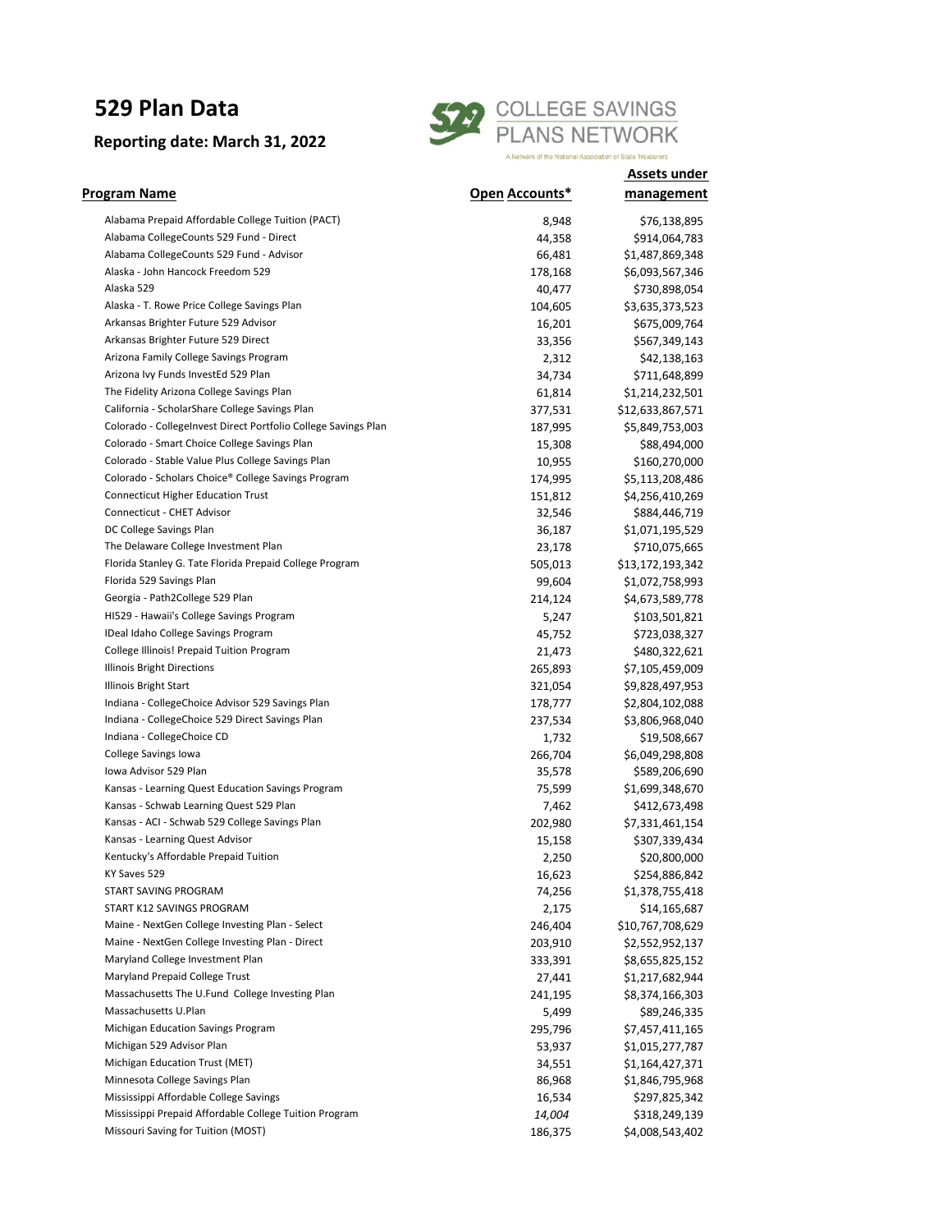## **529 Plan Data**

## **Reporting date: March 31, 2022**



**Assets under** 

| Program Name                                                   | Open Accounts* | management       |
|----------------------------------------------------------------|----------------|------------------|
| Alabama Prepaid Affordable College Tuition (PACT)              | 8,948          | \$76,138,895     |
| Alabama CollegeCounts 529 Fund - Direct                        | 44,358         | \$914,064,783    |
| Alabama CollegeCounts 529 Fund - Advisor                       | 66,481         | \$1,487,869,348  |
| Alaska - John Hancock Freedom 529                              | 178,168        | \$6,093,567,346  |
| Alaska 529                                                     | 40,477         | \$730,898,054    |
| Alaska - T. Rowe Price College Savings Plan                    | 104,605        | \$3,635,373,523  |
| Arkansas Brighter Future 529 Advisor                           | 16,201         | \$675,009,764    |
| Arkansas Brighter Future 529 Direct                            | 33,356         | \$567,349,143    |
| Arizona Family College Savings Program                         | 2,312          | \$42,138,163     |
| Arizona Ivy Funds InvestEd 529 Plan                            | 34,734         | \$711,648,899    |
| The Fidelity Arizona College Savings Plan                      | 61,814         | \$1,214,232,501  |
| California - ScholarShare College Savings Plan                 | 377,531        | \$12,633,867,571 |
| Colorado - CollegeInvest Direct Portfolio College Savings Plan | 187,995        | \$5,849,753,003  |
| Colorado - Smart Choice College Savings Plan                   | 15,308         | \$88,494,000     |
| Colorado - Stable Value Plus College Savings Plan              | 10,955         | \$160,270,000    |
| Colorado - Scholars Choice® College Savings Program            | 174,995        | \$5,113,208,486  |
| <b>Connecticut Higher Education Trust</b>                      | 151,812        | \$4,256,410,269  |
| Connecticut - CHET Advisor                                     | 32,546         | \$884,446,719    |
| DC College Savings Plan                                        | 36,187         | \$1,071,195,529  |
| The Delaware College Investment Plan                           | 23,178         | \$710,075,665    |
| Florida Stanley G. Tate Florida Prepaid College Program        | 505,013        | \$13,172,193,342 |
| Florida 529 Savings Plan                                       | 99,604         | \$1,072,758,993  |
| Georgia - Path2College 529 Plan                                | 214,124        | \$4,673,589,778  |
| HI529 - Hawaii's College Savings Program                       | 5,247          | \$103,501,821    |
| IDeal Idaho College Savings Program                            | 45,752         | \$723,038,327    |
| College Illinois! Prepaid Tuition Program                      | 21,473         | \$480,322,621    |
| Illinois Bright Directions                                     | 265,893        | \$7,105,459,009  |
| Illinois Bright Start                                          | 321,054        | \$9,828,497,953  |
| Indiana - CollegeChoice Advisor 529 Savings Plan               | 178,777        | \$2,804,102,088  |
| Indiana - CollegeChoice 529 Direct Savings Plan                | 237,534        | \$3,806,968,040  |
| Indiana - CollegeChoice CD                                     | 1,732          | \$19,508,667     |
| College Savings Iowa                                           | 266,704        | \$6,049,298,808  |
| Iowa Advisor 529 Plan                                          | 35,578         | \$589,206,690    |
| Kansas - Learning Quest Education Savings Program              | 75,599         | \$1,699,348,670  |
| Kansas - Schwab Learning Quest 529 Plan                        | 7,462          | \$412,673,498    |
| Kansas - ACI - Schwab 529 College Savings Plan                 | 202,980        | \$7,331,461,154  |
| Kansas - Learning Quest Advisor                                | 15,158         | \$307,339,434    |
| Kentucky's Affordable Prepaid Tuition                          | 2,250          | \$20,800,000     |
| KY Saves 529                                                   | 16,623         | \$254,886,842    |
| START SAVING PROGRAM                                           | 74,256         | \$1,378,755,418  |
| START K12 SAVINGS PROGRAM                                      | 2,175          | \$14,165,687     |
| Maine - NextGen College Investing Plan - Select                | 246,404        | \$10,767,708,629 |
| Maine - NextGen College Investing Plan - Direct                | 203,910        | \$2,552,952,137  |
| Maryland College Investment Plan                               | 333,391        | \$8,655,825,152  |
| Maryland Prepaid College Trust                                 | 27,441         | \$1,217,682,944  |
| Massachusetts The U.Fund College Investing Plan                | 241,195        | \$8,374,166,303  |
| Massachusetts U.Plan                                           | 5,499          | \$89,246,335     |
| Michigan Education Savings Program                             | 295,796        | \$7,457,411,165  |
| Michigan 529 Advisor Plan                                      | 53,937         | \$1,015,277,787  |
| Michigan Education Trust (MET)                                 | 34,551         | \$1,164,427,371  |
| Minnesota College Savings Plan                                 | 86,968         | \$1,846,795,968  |
| Mississippi Affordable College Savings                         | 16,534         | \$297,825,342    |
| Mississippi Prepaid Affordable College Tuition Program         | 14,004         | \$318,249,139    |
| Missouri Saving for Tuition (MOST)                             | 186,375        | \$4,008,543,402  |